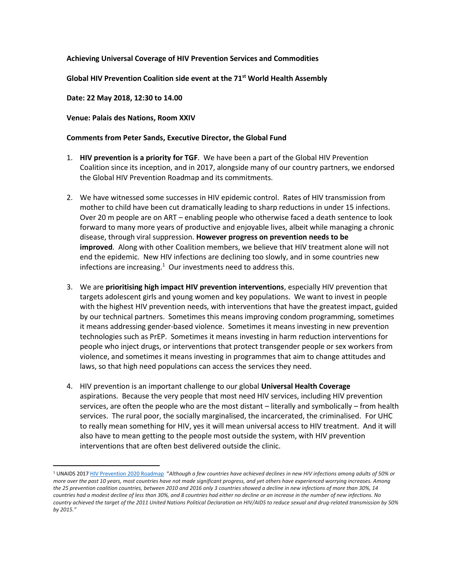## **Achieving Universal Coverage of HIV Prevention Services and Commodities**

**Global HIV Prevention Coalition side event at the 71st World Health Assembly**

## **Date: 22 May 2018, 12:30 to 14.00**

 $\overline{a}$ 

## **Venue: Palais des Nations, Room XXIV**

## **Comments from Peter Sands, Executive Director, the Global Fund**

- 1. **HIV prevention is a priority for TGF**. We have been a part of the Global HIV Prevention Coalition since its inception, and in 2017, alongside many of our country partners, we endorsed the Global HIV Prevention Roadmap and its commitments.
- 2. We have witnessed some successes in HIV epidemic control. Rates of HIV transmission from mother to child have been cut dramatically leading to sharp reductions in under 15 infections. Over 20 m people are on ART – enabling people who otherwise faced a death sentence to look forward to many more years of productive and enjoyable lives, albeit while managing a chronic disease, through viral suppression. **However progress on prevention needs to be improved**. Along with other Coalition members, we believe that HIV treatment alone will not end the epidemic. New HIV infections are declining too slowly, and in some countries new infections are increasing. $1$  Our investments need to address this.
- 3. We are **prioritising high impact HIV prevention interventions**, especially HIV prevention that targets adolescent girls and young women and key populations. We want to invest in people with the highest HIV prevention needs, with interventions that have the greatest impact, guided by our technical partners. Sometimes this means improving condom programming, sometimes it means addressing gender-based violence. Sometimes it means investing in new prevention technologies such as PrEP. Sometimes it means investing in harm reduction interventions for people who inject drugs, or interventions that protect transgender people or sex workers from violence, and sometimes it means investing in programmes that aim to change attitudes and laws, so that high need populations can access the services they need.
- 4. HIV prevention is an important challenge to our global **Universal Health Coverage** aspirations. Because the very people that most need HIV services, including HIV prevention services, are often the people who are the most distant – literally and symbolically – from health services. The rural poor, the socially marginalised, the incarcerated, the criminalised. For UHC to really mean something for HIV, yes it will mean universal access to HIV treatment. And it will also have to mean getting to the people most outside the system, with HIV prevention interventions that are often best delivered outside the clinic.

<sup>1</sup> UNAIDS 201[7 HIV Prevention 2020 Roadmap](https://hivpreventioncoalition.unaids.org/wp-content/uploads/2018/03/JC2909_INCLUSION-GAP_013_En-2.pdf) "*Although a few countries have achieved declines in new HIV infections among adults of 50% or more over the past 10 years, most countries have not made significant progress, and yet others have experienced worrying increases. Among the 25 prevention coalition countries, between 2010 and 2016 only 3 countries showed a decline in new infections of more than 30%, 14 countries had a modest decline of less than 30%, and 8 countries had either no decline or an increase in the number of new infections. No country achieved the target of the 2011 United Nations Political Declaration on HIV/AIDS to reduce sexual and drug-related transmission by 50% by 2015."*